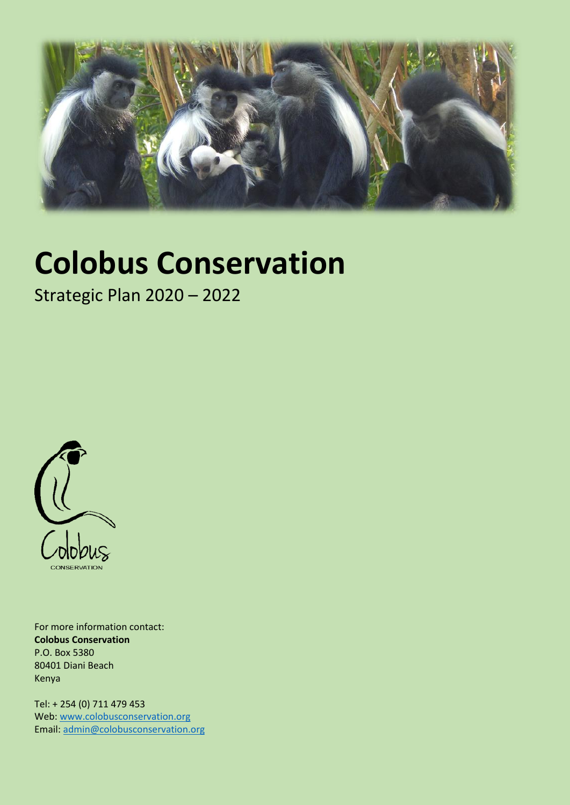

# **Colobus Conservation**

Strategic Plan 2020 – 2022



For more information contact: **Colobus Conservation** P.O. Box 5380 80401 Diani Beach Kenya

Tel: + 254 (0) 711 479 453 Web[: www.colobusconservation.org](http://www.colobusconservation.org/) Email: [admin@colobusconservation.org](mailto:admin@colobusconservation.org)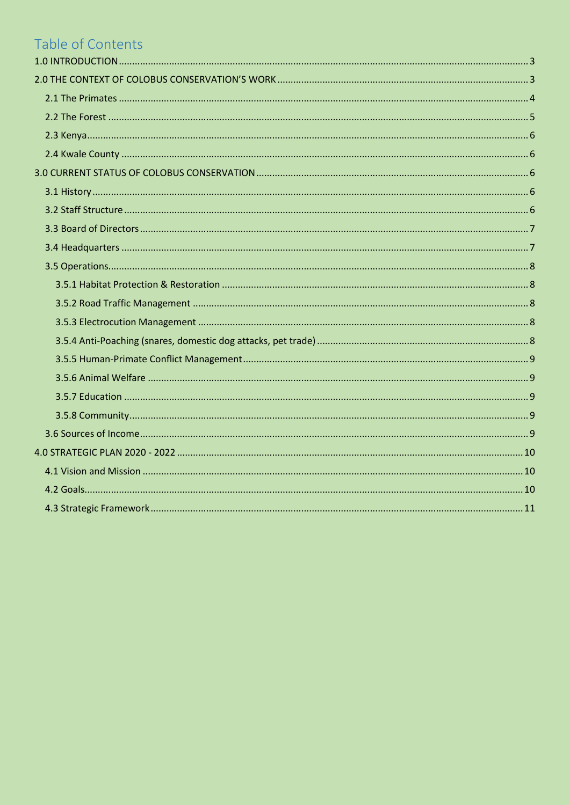# Table of Contents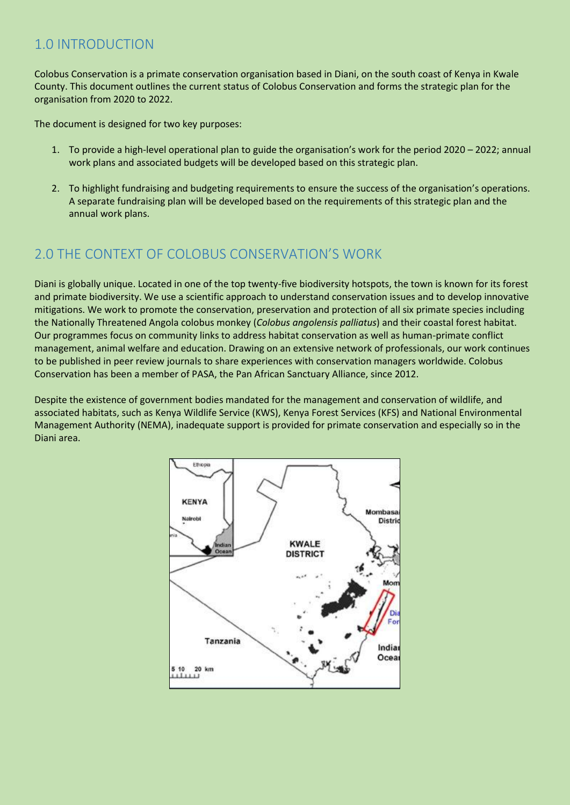## <span id="page-2-0"></span>1.0 INTRODUCTION

Colobus Conservation is a primate conservation organisation based in Diani, on the south coast of Kenya in Kwale County. This document outlines the current status of Colobus Conservation and forms the strategic plan for the organisation from 2020 to 2022.

The document is designed for two key purposes:

- 1. To provide a high-level operational plan to guide the organisation's work for the period 2020 2022; annual work plans and associated budgets will be developed based on this strategic plan.
- 2. To highlight fundraising and budgeting requirements to ensure the success of the organisation's operations. A separate fundraising plan will be developed based on the requirements of this strategic plan and the annual work plans.

# <span id="page-2-1"></span>2.0 THE CONTEXT OF COLOBUS CONSERVATION'S WORK

Diani is globally unique. Located in one of the top twenty-five biodiversity hotspots, the town is known for its forest and primate biodiversity. We use a scientific approach to understand conservation issues and to develop innovative mitigations. We work to promote the conservation, preservation and protection of all six primate species including the Nationally Threatened Angola colobus monkey (*Colobus angolensis palliatus*) and their coastal forest habitat. Our programmes focus on community links to address habitat conservation as well as human-primate conflict management, animal welfare and education. Drawing on an extensive network of professionals, our work continues to be published in peer review journals to share experiences with conservation managers worldwide. Colobus Conservation has been a member of PASA, the Pan African Sanctuary Alliance, since 2012.

Despite the existence of government bodies mandated for the management and conservation of wildlife, and associated habitats, such as Kenya Wildlife Service (KWS), Kenya Forest Services (KFS) and National Environmental Management Authority (NEMA), inadequate support is provided for primate conservation and especially so in the Diani area.

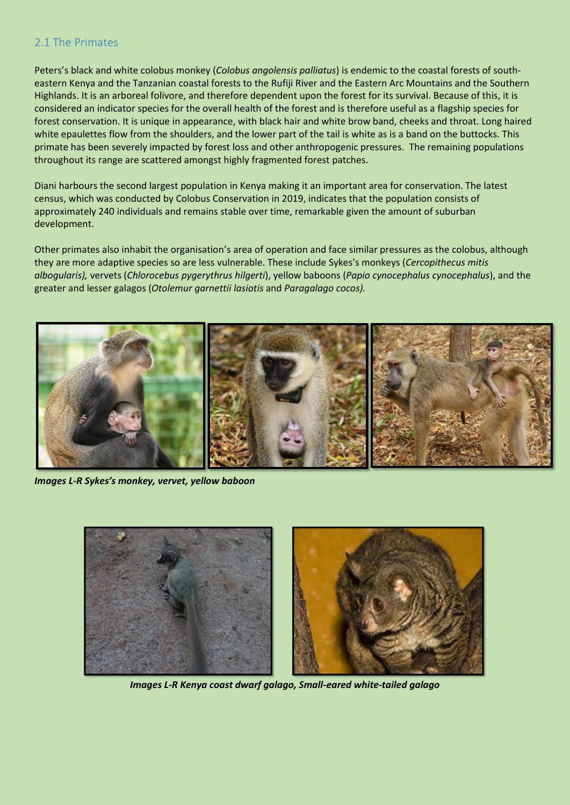## <span id="page-3-0"></span>2.1 The Primates

Peters's black and white colobus monkey (*Colobus angolensis palliatus*) is endemic to the coastal forests of southeastern Kenya and the Tanzanian coastal forests to the Rufiji River and the Eastern Arc Mountains and the Southern Highlands. It is an arboreal folivore, and therefore dependent upon the forest for its survival. Because of this, it is considered an indicator species for the overall health of the forest and is therefore useful as a flagship species for forest conservation. It is unique in appearance, with black hair and white brow band, cheeks and throat. Long haired white epaulettes flow from the shoulders, and the lower part of the tail is white as is a band on the buttocks. This primate has been severely impacted by forest loss and other anthropogenic pressures. The remaining populations throughout its range are scattered amongst highly fragmented forest patches.

Diani harbours the second largest population in Kenya making it an important area for conservation. The latest census, which was conducted by Colobus Conservation in 2019, indicates that the population consists of approximately 240 individuals and remains stable over time, remarkable given the amount of suburban development.

Other primates also inhabit the organisation's area of operation and face similar pressures as the colobus, although they are more adaptive species so are less vulnerable. These include Sykes's monkeys (*Cercopithecus mitis albogularis),* vervets (*Chlorocebus pygerythrus hilgerti*), yellow baboons (*Papio cynocephalus cynocephalus*), and the greater and lesser galagos (*Otolemur garnettii lasiotis* and *Paragalago cocos).*



*Images L-R Sykes's monkey, vervet, yellow baboon*



*Images L-R Kenya coast dwarf galago, Small-eared white-tailed galago*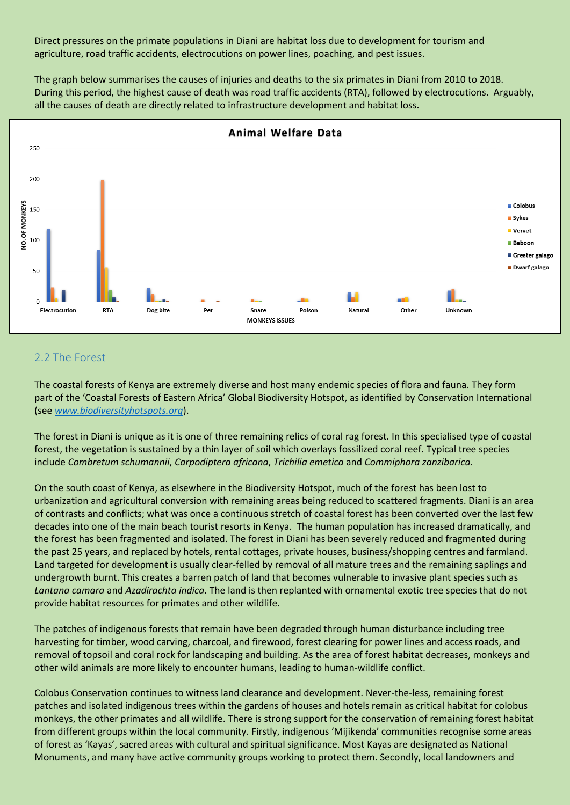Direct pressures on the primate populations in Diani are habitat loss due to development for tourism and agriculture, road traffic accidents, electrocutions on power lines, poaching, and pest issues.

The graph below summarises the causes of injuries and deaths to the six primates in Diani from 2010 to 2018. During this period, the highest cause of death was road traffic accidents (RTA), followed by electrocutions. Arguably, all the causes of death are directly related to infrastructure development and habitat loss.



## <span id="page-4-0"></span>2.2 The Forest

The coastal forests of Kenya are extremely diverse and host many endemic species of flora and fauna. They form part of the 'Coastal Forests of Eastern Africa' Global Biodiversity Hotspot, as identified by Conservation International (see *[www.biodiversityhotspots.org](http://www.biodiversityhotspots.org/)*).

The forest in Diani is unique as it is one of three remaining relics of coral rag forest. In this specialised type of coastal forest, the vegetation is sustained by a thin layer of soil which overlays fossilized coral reef. Typical tree species include *Combretum schumannii*, *Carpodiptera africana*, *Trichilia emetica* and *Commiphora zanzibarica*.

On the south coast of Kenya, as elsewhere in the Biodiversity Hotspot, much of the forest has been lost to urbanization and agricultural conversion with remaining areas being reduced to scattered fragments. Diani is an area of contrasts and conflicts; what was once a continuous stretch of coastal forest has been converted over the last few decades into one of the main beach tourist resorts in Kenya. The human population has increased dramatically, and the forest has been fragmented and isolated. The forest in Diani has been severely reduced and fragmented during the past 25 years, and replaced by hotels, rental cottages, private houses, business/shopping centres and farmland. Land targeted for development is usually clear-felled by removal of all mature trees and the remaining saplings and undergrowth burnt. This creates a barren patch of land that becomes vulnerable to invasive plant species such as *Lantana camara* and *Azadirachta indica*. The land is then replanted with ornamental exotic tree species that do not provide habitat resources for primates and other wildlife.

The patches of indigenous forests that remain have been degraded through human disturbance including tree harvesting for timber, wood carving, charcoal, and firewood, forest clearing for power lines and access roads, and removal of topsoil and coral rock for landscaping and building. As the area of forest habitat decreases, monkeys and other wild animals are more likely to encounter humans, leading to human-wildlife conflict.

Colobus Conservation continues to witness land clearance and development. Never-the-less, remaining forest patches and isolated indigenous trees within the gardens of houses and hotels remain as critical habitat for colobus monkeys, the other primates and all wildlife. There is strong support for the conservation of remaining forest habitat from different groups within the local community. Firstly, indigenous 'Mijikenda' communities recognise some areas of forest as 'Kayas', sacred areas with cultural and spiritual significance. Most Kayas are designated as National Monuments, and many have active community groups working to protect them. Secondly, local landowners and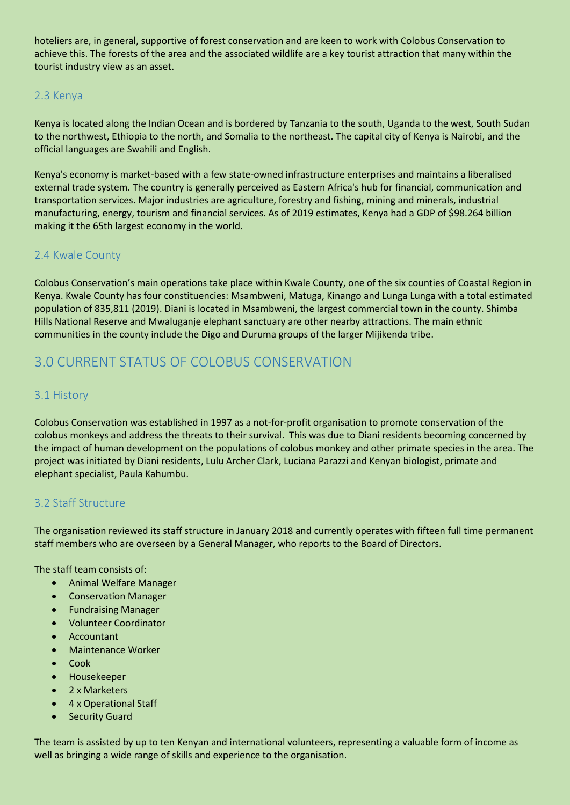hoteliers are, in general, supportive of forest conservation and are keen to work with Colobus Conservation to achieve this. The forests of the area and the associated wildlife are a key tourist attraction that many within the tourist industry view as an asset.

## <span id="page-5-0"></span>2.3 Kenya

Kenya is located along the Indian Ocean and is bordered by Tanzania to the south, Uganda to the west, South Sudan to the northwest, Ethiopia to the north, and Somalia to the northeast. The capital city of Kenya is Nairobi, and the official languages are Swahili and English.

Kenya's economy is market-based with a few state-owned infrastructure enterprises and maintains a liberalised external trade system. The country is generally perceived as Eastern Africa's hub for financial, communication and transportation services. Major industries are agriculture, forestry and fishing, mining and minerals, industrial manufacturing, energy, tourism and financial services. As of 2019 estimates, Kenya had a GDP of \$98.264 billion making it the 65th largest economy in the world.

## <span id="page-5-1"></span>2.4 Kwale County

Colobus Conservation's main operations take place within Kwale County, one of the six counties of Coastal Region in Kenya. Kwale County has four constituencies: Msambweni, Matuga, Kinango and Lunga Lunga with a total estimated population of 835,811 (2019). Diani is located in Msambweni, the largest commercial town in the county. Shimba Hills National Reserve and Mwaluganje elephant sanctuary are other nearby attractions. The main ethnic communities in the county include the Digo and Duruma groups of the larger Mijikenda tribe.

# <span id="page-5-2"></span>3.0 CURRENT STATUS OF COLOBUS CONSERVATION

## <span id="page-5-3"></span>3.1 History

Colobus Conservation was established in 1997 as a not-for-profit organisation to promote conservation of the colobus monkeys and address the threats to their survival. This was due to Diani residents becoming concerned by the impact of human development on the populations of colobus monkey and other primate species in the area. The project was initiated by Diani residents, Lulu Archer Clark, Luciana Parazzi and Kenyan biologist, primate and elephant specialist, Paula Kahumbu.

## <span id="page-5-4"></span>3.2 Staff Structure

The organisation reviewed its staff structure in January 2018 and currently operates with fifteen full time permanent staff members who are overseen by a General Manager, who reports to the Board of Directors.

The staff team consists of:

- Animal Welfare Manager
- Conservation Manager
- **•** Fundraising Manager
- Volunteer Coordinator
- Accountant
- **•** Maintenance Worker
- Cook
- Housekeeper
- 2 x Marketers
- 4 x Operational Staff
- **•** Security Guard

The team is assisted by up to ten Kenyan and international volunteers, representing a valuable form of income as well as bringing a wide range of skills and experience to the organisation.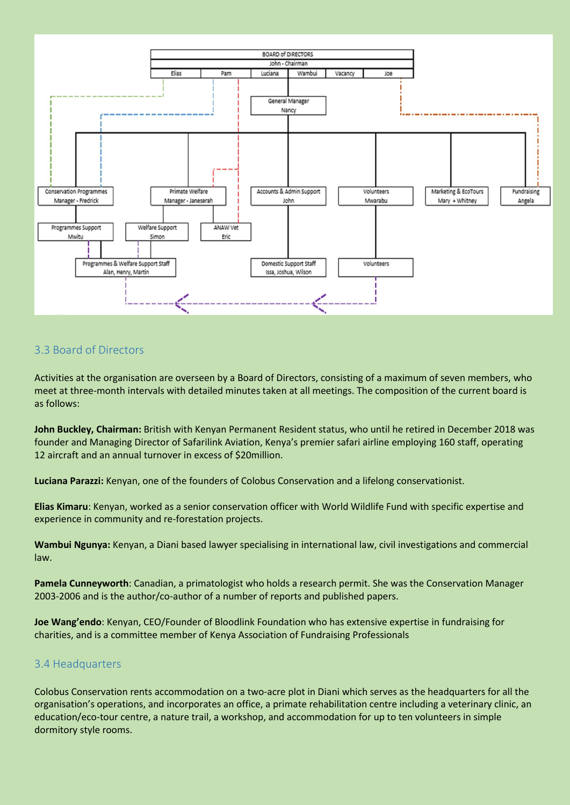

## <span id="page-6-0"></span>3.3 Board of Directors

Activities at the organisation are overseen by a Board of Directors, consisting of a maximum of seven members, who meet at three-month intervals with detailed minutes taken at all meetings. The composition of the current board is as follows:

**John Buckley, Chairman:** British with Kenyan Permanent Resident status, who until he retired in December 2018 was founder and Managing Director of Safarilink Aviation, Kenya's premier safari airline employing 160 staff, operating 12 aircraft and an annual turnover in excess of \$20million.

**Luciana Parazzi:** Kenyan, one of the founders of Colobus Conservation and a lifelong conservationist.

**Elias Kimaru**: Kenyan, worked as a senior conservation officer with World Wildlife Fund with specific expertise and experience in community and re-forestation projects.

**Wambui Ngunya:** Kenyan, a Diani based lawyer specialising in international law, civil investigations and commercial law.

**Pamela Cunneyworth**: Canadian, a primatologist who holds a research permit. She was the Conservation Manager 2003-2006 and is the author/co-author of a number of reports and published papers.

**Joe Wang'endo**: Kenyan, CEO/Founder of Bloodlink Foundation who has extensive expertise in fundraising for charities, and is a committee member of Kenya Association of Fundraising Professionals

#### <span id="page-6-1"></span>3.4 Headquarters

Colobus Conservation rents accommodation on a two-acre plot in Diani which serves as the headquarters for all the organisation's operations, and incorporates an office, a primate rehabilitation centre including a veterinary clinic, an education/eco-tour centre, a nature trail, a workshop, and accommodation for up to ten volunteers in simple dormitory style rooms.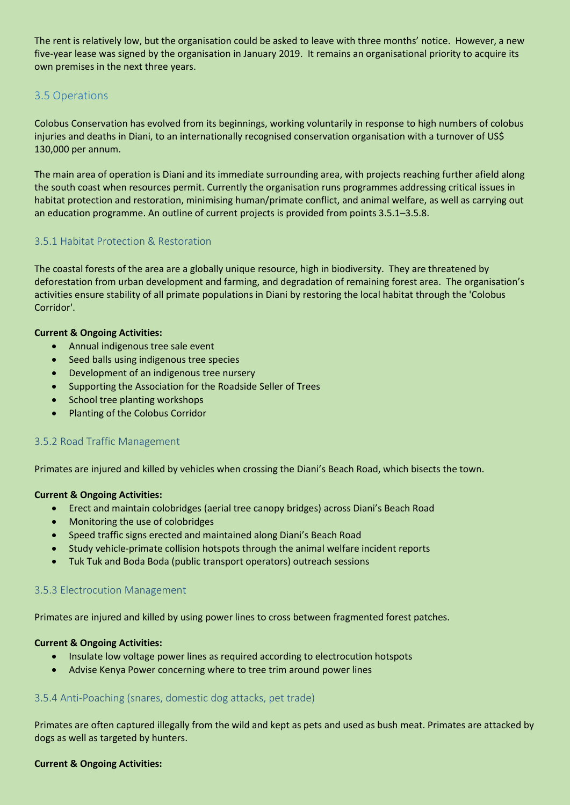The rent is relatively low, but the organisation could be asked to leave with three months' notice. However, a new five-year lease was signed by the organisation in January 2019. It remains an organisational priority to acquire its own premises in the next three years.

## <span id="page-7-0"></span>3.5 Operations

Colobus Conservation has evolved from its beginnings, working voluntarily in response to high numbers of colobus injuries and deaths in Diani, to an internationally recognised conservation organisation with a turnover of US\$ 130,000 per annum.

The main area of operation is Diani and its immediate surrounding area, with projects reaching further afield along the south coast when resources permit. Currently the organisation runs programmes addressing critical issues in habitat protection and restoration, minimising human/primate conflict, and animal welfare, as well as carrying out an education programme. An outline of current projects is provided from points 3.5.1–3.5.8.

## <span id="page-7-1"></span>3.5.1 Habitat Protection & Restoration

The coastal forests of the area are a globally unique resource, high in biodiversity. They are threatened by deforestation from urban development and farming, and degradation of remaining forest area. The organisation's activities ensure stability of all primate populations in Diani by restoring the local habitat through the 'Colobus Corridor'.

#### **Current & Ongoing Activities:**

- Annual indigenous tree sale event
- Seed balls using indigenous tree species
- Development of an indigenous tree nursery
- Supporting the Association for the Roadside Seller of Trees
- School tree planting workshops
- Planting of the Colobus Corridor

#### <span id="page-7-2"></span>3.5.2 Road Traffic Management

Primates are injured and killed by vehicles when crossing the Diani's Beach Road, which bisects the town.

#### **Current & Ongoing Activities:**

- Erect and maintain colobridges (aerial tree canopy bridges) across Diani's Beach Road
- Monitoring the use of colobridges
- Speed traffic signs erected and maintained along Diani's Beach Road
- Study vehicle-primate collision hotspots through the animal welfare incident reports
- Tuk Tuk and Boda Boda (public transport operators) outreach sessions

#### <span id="page-7-3"></span>3.5.3 Electrocution Management

Primates are injured and killed by using power lines to cross between fragmented forest patches.

#### **Current & Ongoing Activities:**

- Insulate low voltage power lines as required according to electrocution hotspots
- Advise Kenya Power concerning where to tree trim around power lines

#### <span id="page-7-4"></span>3.5.4 Anti-Poaching (snares, domestic dog attacks, pet trade)

Primates are often captured illegally from the wild and kept as pets and used as bush meat. Primates are attacked by dogs as well as targeted by hunters.

#### **Current & Ongoing Activities:**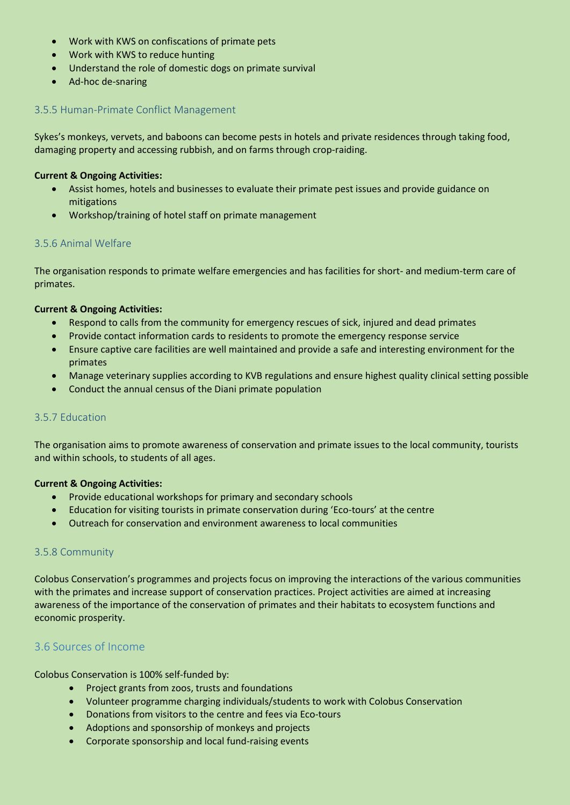- Work with KWS on confiscations of primate pets
- Work with KWS to reduce hunting
- Understand the role of domestic dogs on primate survival
- Ad-hoc de-snaring

#### <span id="page-8-0"></span>3.5.5 Human-Primate Conflict Management

Sykes's monkeys, vervets, and baboons can become pests in hotels and private residences through taking food, damaging property and accessing rubbish, and on farms through crop-raiding.

#### **Current & Ongoing Activities:**

- Assist homes, hotels and businesses to evaluate their primate pest issues and provide guidance on mitigations
- Workshop/training of hotel staff on primate management

#### <span id="page-8-1"></span>3.5.6 Animal Welfare

The organisation responds to primate welfare emergencies and has facilities for short- and medium-term care of primates.

#### **Current & Ongoing Activities:**

- Respond to calls from the community for emergency rescues of sick, injured and dead primates
- Provide contact information cards to residents to promote the emergency response service
- Ensure captive care facilities are well maintained and provide a safe and interesting environment for the primates
- Manage veterinary supplies according to KVB regulations and ensure highest quality clinical setting possible
- Conduct the annual census of the Diani primate population

#### <span id="page-8-2"></span>3.5.7 Education

The organisation aims to promote awareness of conservation and primate issues to the local community, tourists and within schools, to students of all ages.

#### **Current & Ongoing Activities:**

- Provide educational workshops for primary and secondary schools
- Education for visiting tourists in primate conservation during 'Eco-tours' at the centre
- Outreach for conservation and environment awareness to local communities

#### <span id="page-8-3"></span>3.5.8 Community

Colobus Conservation's programmes and projects focus on improving the interactions of the various communities with the primates and increase support of conservation practices. Project activities are aimed at increasing awareness of the importance of the conservation of primates and their habitats to ecosystem functions and economic prosperity.

## <span id="page-8-4"></span>3.6 Sources of Income

Colobus Conservation is 100% self-funded by:

- Project grants from zoos, trusts and foundations
- Volunteer programme charging individuals/students to work with Colobus Conservation
- Donations from visitors to the centre and fees via Eco-tours
- Adoptions and sponsorship of monkeys and projects
- Corporate sponsorship and local fund-raising events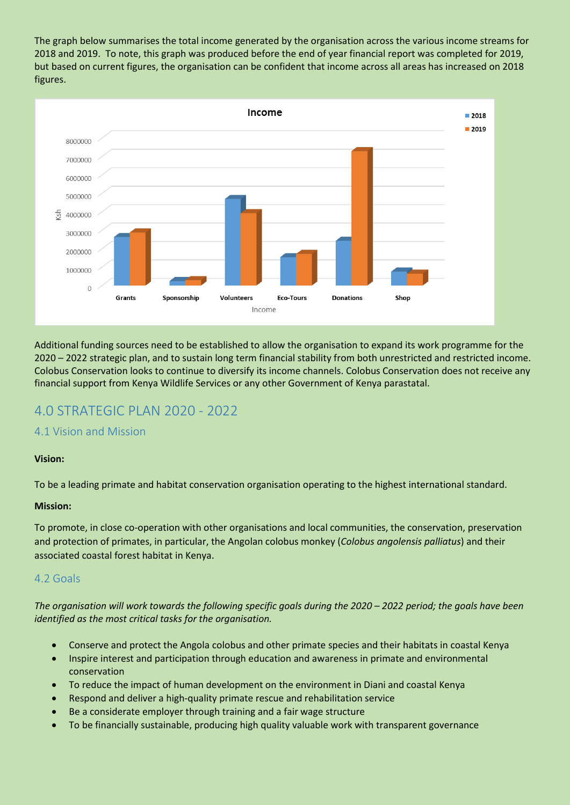The graph below summarises the total income generated by the organisation across the various income streams for 2018 and 2019. To note, this graph was produced before the end of year financial report was completed for 2019, but based on current figures, the organisation can be confident that income across all areas has increased on 2018 figures.



Additional funding sources need to be established to allow the organisation to expand its work programme for the 2020 – 2022 strategic plan, and to sustain long term financial stability from both unrestricted and restricted income. Colobus Conservation looks to continue to diversify its income channels. Colobus Conservation does not receive any financial support from Kenya Wildlife Services or any other Government of Kenya parastatal.

# <span id="page-9-0"></span>4.0 STRATEGIC PLAN 2020 - 2022

## <span id="page-9-1"></span>4.1 Vision and Mission

#### **Vision:**

To be a leading primate and habitat conservation organisation operating to the highest international standard.

#### **Mission:**

To promote, in close co-operation with other organisations and local communities, the conservation, preservation and protection of primates, in particular, the Angolan colobus monkey (*Colobus angolensis palliatus*) and their associated coastal forest habitat in Kenya.

## <span id="page-9-2"></span>4.2 Goals

*The organisation will work towards the following specific goals during the 2020 – 2022 period; the goals have been identified as the most critical tasks for the organisation.*

- Conserve and protect the Angola colobus and other primate species and their habitats in coastal Kenya
- Inspire interest and participation through education and awareness in primate and environmental conservation
- To reduce the impact of human development on the environment in Diani and coastal Kenya
- Respond and deliver a high-quality primate rescue and rehabilitation service
- Be a considerate employer through training and a fair wage structure
- To be financially sustainable, producing high quality valuable work with transparent governance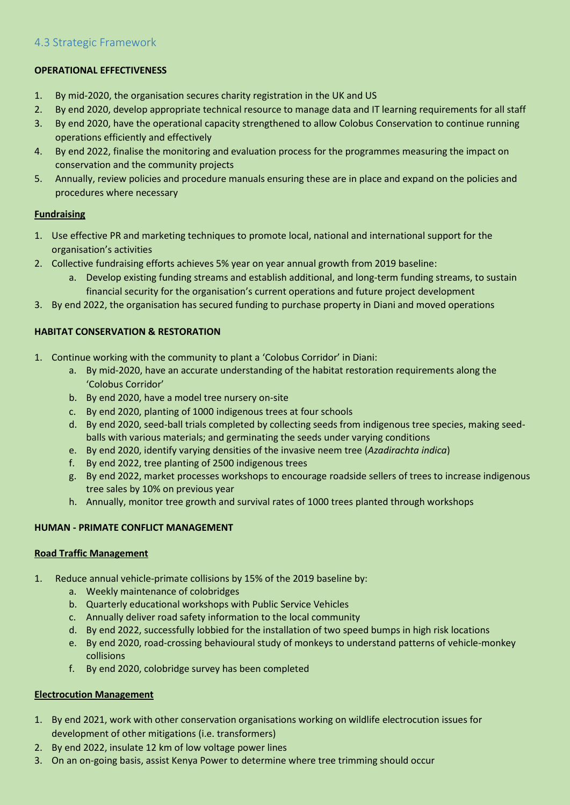## <span id="page-10-0"></span>4.3 Strategic Framework

## **OPERATIONAL EFFECTIVENESS**

- 1. By mid-2020, the organisation secures charity registration in the UK and US
- 2. By end 2020, develop appropriate technical resource to manage data and IT learning requirements for all staff
- 3. By end 2020, have the operational capacity strengthened to allow Colobus Conservation to continue running operations efficiently and effectively
- 4. By end 2022, finalise the monitoring and evaluation process for the programmes measuring the impact on conservation and the community projects
- 5. Annually, review policies and procedure manuals ensuring these are in place and expand on the policies and procedures where necessary

#### **Fundraising**

- 1. Use effective PR and marketing techniques to promote local, national and international support for the organisation's activities
- 2. Collective fundraising efforts achieves 5% year on year annual growth from 2019 baseline:
	- a. Develop existing funding streams and establish additional, and long-term funding streams, to sustain financial security for the organisation's current operations and future project development
- 3. By end 2022, the organisation has secured funding to purchase property in Diani and moved operations

#### **HABITAT CONSERVATION & RESTORATION**

- 1. Continue working with the community to plant a 'Colobus Corridor' in Diani:
	- a. By mid-2020, have an accurate understanding of the habitat restoration requirements along the 'Colobus Corridor'
	- b. By end 2020, have a model tree nursery on-site
	- c. By end 2020, planting of 1000 indigenous trees at four schools
	- d. By end 2020, seed-ball trials completed by collecting seeds from indigenous tree species, making seedballs with various materials; and germinating the seeds under varying conditions
	- e. By end 2020, identify varying densities of the invasive neem tree (*Azadirachta indica*)
	- f. By end 2022, tree planting of 2500 indigenous trees
	- g. By end 2022, market processes workshops to encourage roadside sellers of trees to increase indigenous tree sales by 10% on previous year
	- h. Annually, monitor tree growth and survival rates of 1000 trees planted through workshops

#### **HUMAN - PRIMATE CONFLICT MANAGEMENT**

#### **Road Traffic Management**

- 1. Reduce annual vehicle-primate collisions by 15% of the 2019 baseline by:
	- a. Weekly maintenance of colobridges
	- b. Quarterly educational workshops with Public Service Vehicles
	- c. Annually deliver road safety information to the local community
	- d. By end 2022, successfully lobbied for the installation of two speed bumps in high risk locations
	- e. By end 2020, road-crossing behavioural study of monkeys to understand patterns of vehicle-monkey collisions
	- f. By end 2020, colobridge survey has been completed

## **Electrocution Management**

- 1. By end 2021, work with other conservation organisations working on wildlife electrocution issues for development of other mitigations (i.e. transformers)
- 2. By end 2022, insulate 12 km of low voltage power lines
- 3. On an on-going basis, assist Kenya Power to determine where tree trimming should occur